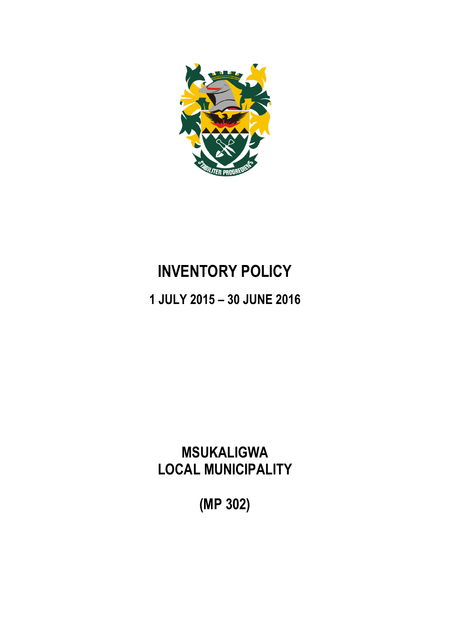

# **INVENTORY POLICY**

**1 JULY 2015 – 30 JUNE 2016**

**MSUKALIGWA LOCAL MUNICIPALITY**

**(MP 302)**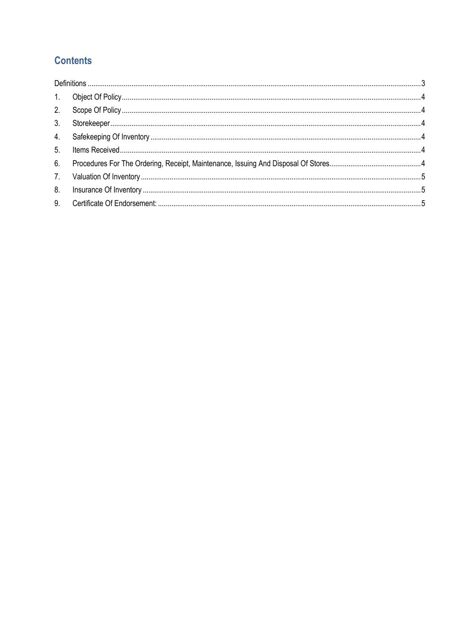# **Contents**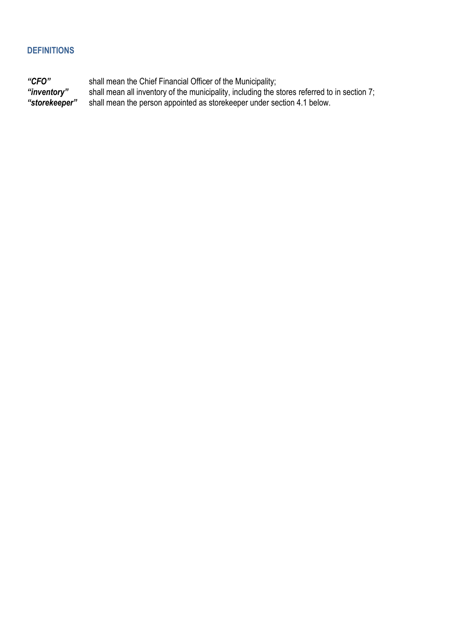### <span id="page-2-0"></span>**DEFINITIONS**

*"CFO"* shall mean the Chief Financial Officer of the Municipality; *"inventory"* shall mean all inventory of the municipality, including the stores referred to in section 7; *"storekeeper"* shall mean the person appointed as storekeeper under section 4.1 below.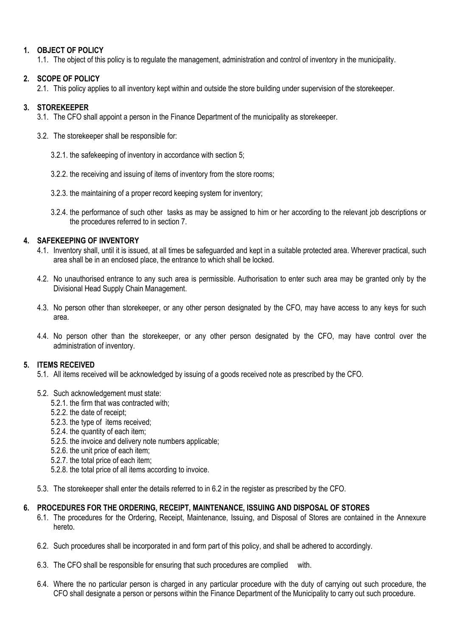#### <span id="page-3-0"></span>**1. OBJECT OF POLICY**

1.1. The object of this policy is to regulate the management, administration and control of inventory in the municipality.

#### <span id="page-3-1"></span>**2. SCOPE OF POLICY**

2.1. This policy applies to all inventory kept within and outside the store building under supervision of the storekeeper.

#### <span id="page-3-2"></span>**3. STOREKEEPER**

- 3.1. The CFO shall appoint a person in the Finance Department of the municipality as storekeeper.
- 3.2. The storekeeper shall be responsible for:
	- 3.2.1. the safekeeping of inventory in accordance with section 5;
	- 3.2.2. the receiving and issuing of items of inventory from the store rooms;
	- 3.2.3. the maintaining of a proper record keeping system for inventory;
	- 3.2.4. the performance of such other tasks as may be assigned to him or her according to the relevant job descriptions or the procedures referred to in section 7.

#### <span id="page-3-3"></span>**4. SAFEKEEPING OF INVENTORY**

- 4.1. Inventory shall, until it is issued, at all times be safeguarded and kept in a suitable protected area. Wherever practical, such area shall be in an enclosed place, the entrance to which shall be locked.
- 4.2. No unauthorised entrance to any such area is permissible. Authorisation to enter such area may be granted only by the Divisional Head Supply Chain Management.
- 4.3. No person other than storekeeper, or any other person designated by the CFO, may have access to any keys for such area.
- 4.4. No person other than the storekeeper, or any other person designated by the CFO, may have control over the administration of inventory.

#### <span id="page-3-4"></span>**5. ITEMS RECEIVED**

- 5.1. All items received will be acknowledged by issuing of a goods received note as prescribed by the CFO.
- 5.2. Such acknowledgement must state:
	- 5.2.1. the firm that was contracted with;
	- 5.2.2. the date of receipt;
	- 5.2.3. the type of items received;
	- 5.2.4. the quantity of each item;
	- 5.2.5. the invoice and delivery note numbers applicable;
	- 5.2.6. the unit price of each item;
	- 5.2.7. the total price of each item;
	- 5.2.8. the total price of all items according to invoice.
- 5.3. The storekeeper shall enter the details referred to in 6.2 in the register as prescribed by the CFO.

#### <span id="page-3-5"></span>**6. PROCEDURES FOR THE ORDERING, RECEIPT, MAINTENANCE, ISSUING AND DISPOSAL OF STORES**

- 6.1. The procedures for the Ordering, Receipt, Maintenance, Issuing, and Disposal of Stores are contained in the Annexure hereto.
- 6.2. Such procedures shall be incorporated in and form part of this policy, and shall be adhered to accordingly.
- 6.3. The CFO shall be responsible for ensuring that such procedures are complied with.
- 6.4. Where the no particular person is charged in any particular procedure with the duty of carrying out such procedure, the CFO shall designate a person or persons within the Finance Department of the Municipality to carry out such procedure.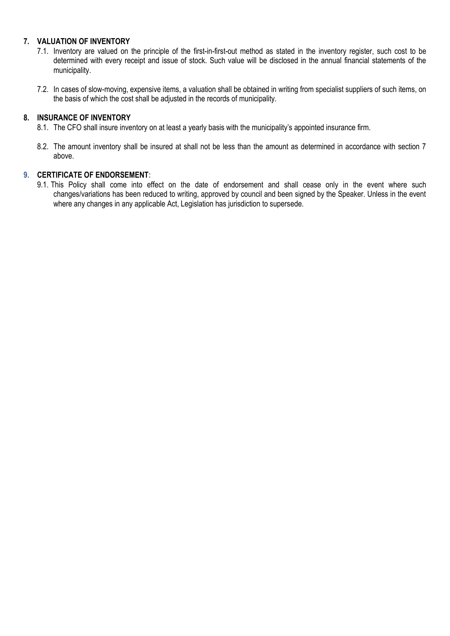#### <span id="page-4-0"></span>**7. VALUATION OF INVENTORY**

- 7.1. Inventory are valued on the principle of the first-in-first-out method as stated in the inventory register, such cost to be determined with every receipt and issue of stock. Such value will be disclosed in the annual financial statements of the municipality.
- 7.2. In cases of slow-moving, expensive items, a valuation shall be obtained in writing from specialist suppliers of such items, on the basis of which the cost shall be adjusted in the records of municipality.

#### <span id="page-4-1"></span>**8. INSURANCE OF INVENTORY**

- 8.1. The CFO shall insure inventory on at least a yearly basis with the municipality's appointed insurance firm.
- 8.2. The amount inventory shall be insured at shall not be less than the amount as determined in accordance with section 7 above.

#### <span id="page-4-2"></span>**9. CERTIFICATE OF ENDORSEMENT:**

9.1. This Policy shall come into effect on the date of endorsement and shall cease only in the event where such changes/variations has been reduced to writing, approved by council and been signed by the Speaker. Unless in the event where any changes in any applicable Act, Legislation has jurisdiction to supersede.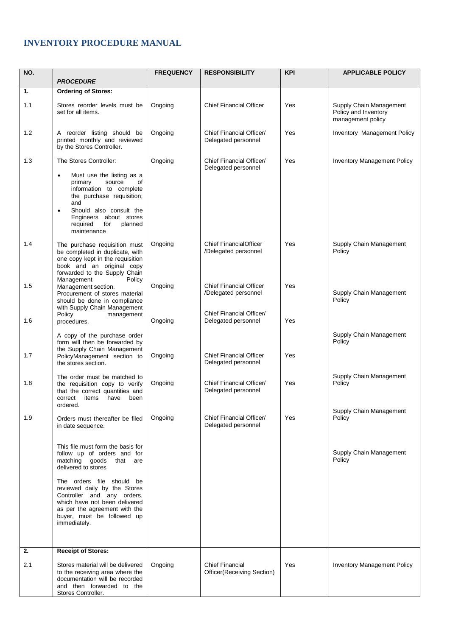## **INVENTORY PROCEDURE MANUAL**

| NO. |                                                                                                                                                                                                                                                                           | <b>FREQUENCY</b> | <b>RESPONSIBILITY</b>                                  | <b>KPI</b> | <b>APPLICABLE POLICY</b>                                             |
|-----|---------------------------------------------------------------------------------------------------------------------------------------------------------------------------------------------------------------------------------------------------------------------------|------------------|--------------------------------------------------------|------------|----------------------------------------------------------------------|
|     | <b>PROCEDURE</b>                                                                                                                                                                                                                                                          |                  |                                                        |            |                                                                      |
| 1.  | <b>Ordering of Stores:</b>                                                                                                                                                                                                                                                |                  |                                                        |            |                                                                      |
| 1.1 | Stores reorder levels must be<br>set for all items.                                                                                                                                                                                                                       | Ongoing          | <b>Chief Financial Officer</b>                         | Yes        | Supply Chain Management<br>Policy and Inventory<br>management policy |
| 1.2 | A reorder listing should be<br>printed monthly and reviewed<br>by the Stores Controller.                                                                                                                                                                                  | Ongoing          | Chief Financial Officer/<br>Delegated personnel        | Yes        | Inventory Management Policy                                          |
| 1.3 | The Stores Controller:<br>Must use the listing as a<br>$\bullet$<br>οf<br>primary<br>source<br>information to complete<br>the purchase requisition;<br>and<br>Should also consult the<br>$\bullet$<br>Engineers about stores<br>required<br>planned<br>for<br>maintenance | Ongoing          | Chief Financial Officer/<br>Delegated personnel        | Yes        | <b>Inventory Management Policy</b>                                   |
| 1.4 | The purchase requisition must<br>be completed in duplicate, with<br>one copy kept in the requisition<br>book and an original copy<br>forwarded to the Supply Chain                                                                                                        | Ongoing          | <b>Chief FinancialOfficer</b><br>/Delegated personnel  | Yes        | Supply Chain Management<br>Policy                                    |
| 1.5 | Management<br>Policy<br>Management section.<br>Procurement of stores material<br>should be done in compliance<br>with Supply Chain Management                                                                                                                             | Ongoing          | <b>Chief Financial Officer</b><br>/Delegated personnel | Yes        | Supply Chain Management<br>Policy                                    |
| 1.6 | Policy<br>management<br>procedures.                                                                                                                                                                                                                                       | Ongoing          | Chief Financial Officer/<br>Delegated personnel        | Yes        |                                                                      |
| 1.7 | A copy of the purchase order<br>form will then be forwarded by<br>the Supply Chain Management<br>PolicyManagement section to<br>the stores section.                                                                                                                       | Ongoing          | <b>Chief Financial Officer</b><br>Delegated personnel  | Yes        | Supply Chain Management<br>Policy                                    |
| 1.8 | The order must be matched to<br>the requisition copy to verify<br>that the correct quantities and<br>items<br>have<br>been<br>correct<br>ordered.                                                                                                                         | Ongoing          | Chief Financial Officer/<br>Delegated personnel        | Yes        | Supply Chain Management<br>Policy                                    |
| 1.9 | Orders must thereafter be filed<br>in date sequence.                                                                                                                                                                                                                      | Ongoing          | Chief Financial Officer/<br>Delegated personnel        | Yes        | Supply Chain Management<br>Policy                                    |
|     | This file must form the basis for<br>follow up of orders and for<br>matching goods<br>that are<br>delivered to stores<br>The orders file should be<br>reviewed daily by the Stores<br>Controller and any orders,                                                          |                  |                                                        |            | Supply Chain Management<br>Policy                                    |
|     | which have not been delivered<br>as per the agreement with the<br>buyer, must be followed up<br>immediately.                                                                                                                                                              |                  |                                                        |            |                                                                      |
| 2.  | <b>Receipt of Stores:</b>                                                                                                                                                                                                                                                 |                  |                                                        |            |                                                                      |
| 2.1 | Stores material will be delivered<br>to the receiving area where the<br>documentation will be recorded<br>and then forwarded to the<br>Stores Controller.                                                                                                                 | Ongoing          | <b>Chief Financial</b><br>Officer(Receiving Section)   | Yes        | <b>Inventory Management Policy</b>                                   |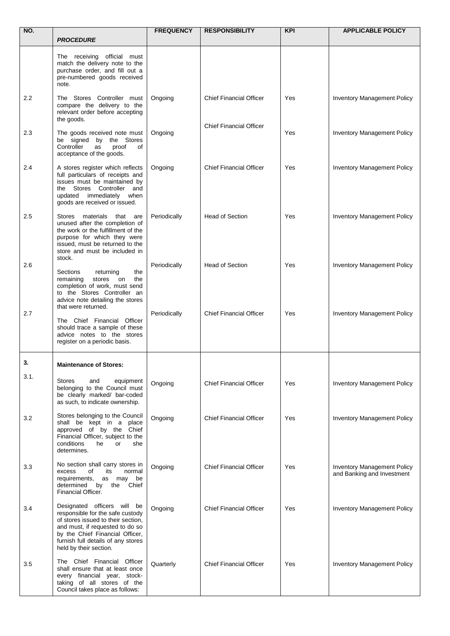| NO.  |                                                                                                                                                                                                                                             | <b>FREQUENCY</b> | <b>RESPONSIBILITY</b>          | <b>KPI</b> | <b>APPLICABLE POLICY</b>                                         |
|------|---------------------------------------------------------------------------------------------------------------------------------------------------------------------------------------------------------------------------------------------|------------------|--------------------------------|------------|------------------------------------------------------------------|
|      | <b>PROCEDURE</b>                                                                                                                                                                                                                            |                  |                                |            |                                                                  |
|      | The receiving official must<br>match the delivery note to the<br>purchase order, and fill out a<br>pre-numbered goods received<br>note.                                                                                                     |                  |                                |            |                                                                  |
| 2.2  | The Stores Controller must<br>compare the delivery to the<br>relevant order before accepting<br>the goods.                                                                                                                                  | Ongoing          | <b>Chief Financial Officer</b> | Yes        | <b>Inventory Management Policy</b>                               |
| 2.3  | The goods received note must<br>be signed by the Stores<br>Controller<br>proof<br>as<br>of<br>acceptance of the goods.                                                                                                                      | Ongoing          | <b>Chief Financial Officer</b> | Yes        | Inventory Management Policy                                      |
| 2.4  | A stores register which reflects<br>full particulars of receipts and<br>issues must be maintained by<br>the Stores Controller and<br>updated immediately when<br>goods are received or issued.                                              | Ongoing          | <b>Chief Financial Officer</b> | Yes        | <b>Inventory Management Policy</b>                               |
| 2.5  | materials that are<br>Stores<br>unused after the completion of<br>the work or the fulfillment of the<br>purpose for which they were<br>issued, must be returned to the<br>store and must be included in<br>stock.                           | Periodically     | <b>Head of Section</b>         | Yes        | <b>Inventory Management Policy</b>                               |
| 2.6  | Sections<br>returning<br>the<br>remaining<br>stores<br>on<br>the<br>completion of work, must send<br>to the Stores Controller an<br>advice note detailing the stores<br>that were returned.                                                 | Periodically     | <b>Head of Section</b>         | Yes        | <b>Inventory Management Policy</b>                               |
| 2.7  | The Chief Financial Officer<br>should trace a sample of these<br>advice notes to the stores<br>register on a periodic basis.                                                                                                                | Periodically     | <b>Chief Financial Officer</b> | Yes        | Inventory Management Policy                                      |
| 3.   | <b>Maintenance of Stores:</b>                                                                                                                                                                                                               |                  |                                |            |                                                                  |
| 3.1. | <b>Stores</b><br>equipment<br>and<br>belonging to the Council must<br>be clearly marked/ bar-coded<br>as such, to indicate ownership.                                                                                                       | Ongoing          | <b>Chief Financial Officer</b> | Yes        | <b>Inventory Management Policy</b>                               |
| 3.2  | Stores belonging to the Council<br>shall be kept in a place<br>approved of by the Chief<br>Financial Officer, subject to the<br>conditions<br>he<br>or<br>she<br>determines.                                                                | Ongoing          | <b>Chief Financial Officer</b> | Yes        | <b>Inventory Management Policy</b>                               |
| 3.3  | No section shall carry stores in<br>excess<br>of<br>its<br>normal<br>requirements,<br>as may<br>be<br>determined by the<br>Chief<br>Financial Officer.                                                                                      | Ongoing          | <b>Chief Financial Officer</b> | Yes        | <b>Inventory Management Policy</b><br>and Banking and Investment |
| 3.4  | Designated officers will be<br>responsible for the safe custody<br>of stores issued to their section,<br>and must, if requested to do so<br>by the Chief Financial Officer,<br>furnish full details of any stores<br>held by their section. | Ongoing          | <b>Chief Financial Officer</b> | Yes        | <b>Inventory Management Policy</b>                               |
| 3.5  | The Chief Financial Officer<br>shall ensure that at least once<br>every financial year, stock-<br>taking of all stores of the<br>Council takes place as follows:                                                                            | Quarterly        | <b>Chief Financial Officer</b> | Yes        | <b>Inventory Management Policy</b>                               |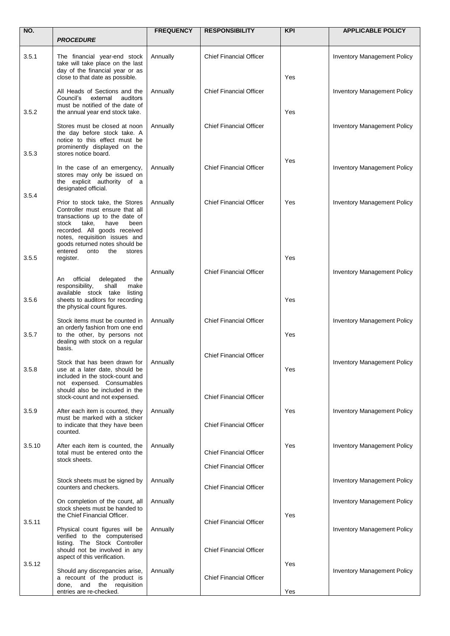| NO.    |                                                                                                                                                                                                                                                                               | <b>FREQUENCY</b> | <b>RESPONSIBILITY</b>                                            | <b>KPI</b> | <b>APPLICABLE POLICY</b>           |
|--------|-------------------------------------------------------------------------------------------------------------------------------------------------------------------------------------------------------------------------------------------------------------------------------|------------------|------------------------------------------------------------------|------------|------------------------------------|
|        | <b>PROCEDURE</b>                                                                                                                                                                                                                                                              |                  |                                                                  |            |                                    |
| 3.5.1  | The financial year-end stock<br>take will take place on the last<br>day of the financial year or as<br>close to that date as possible.                                                                                                                                        | Annually         | <b>Chief Financial Officer</b>                                   | Yes        | <b>Inventory Management Policy</b> |
| 3.5.2  | All Heads of Sections and the<br>Council's<br>external<br>auditors<br>must be notified of the date of<br>the annual year end stock take.                                                                                                                                      | Annually         | <b>Chief Financial Officer</b>                                   | Yes        | <b>Inventory Management Policy</b> |
| 3.5.3  | Stores must be closed at noon<br>the day before stock take. A<br>notice to this effect must be<br>prominently displayed on the<br>stores notice board.                                                                                                                        | Annually         | <b>Chief Financial Officer</b>                                   |            | <b>Inventory Management Policy</b> |
|        | In the case of an emergency,<br>stores may only be issued on<br>the explicit authority of a<br>designated official.                                                                                                                                                           | Annually         | <b>Chief Financial Officer</b>                                   | Yes        | <b>Inventory Management Policy</b> |
| 3.5.4  | Prior to stock take, the Stores<br>Controller must ensure that all<br>transactions up to the date of<br>stock<br>take,<br>have<br>been<br>recorded. All goods received<br>notes, requisition issues and<br>goods returned notes should be<br>entered<br>onto<br>the<br>stores | Annually         | <b>Chief Financial Officer</b>                                   | Yes        | <b>Inventory Management Policy</b> |
| 3.5.5  | register.                                                                                                                                                                                                                                                                     |                  |                                                                  | Yes        |                                    |
| 3.5.6  | official<br>delegated<br>An<br>the<br>responsibility,<br>shall<br>make<br>available stock take listing<br>sheets to auditors for recording<br>the physical count figures.                                                                                                     | Annually         | <b>Chief Financial Officer</b>                                   | Yes        | <b>Inventory Management Policy</b> |
| 3.5.7  | Stock items must be counted in<br>an orderly fashion from one end<br>to the other, by persons not<br>dealing with stock on a regular<br>basis.                                                                                                                                | Annually         | <b>Chief Financial Officer</b>                                   | Yes        | <b>Inventory Management Policy</b> |
| 3.5.8  | Stock that has been drawn for<br>use at a later date, should be<br>included in the stock-count and<br>not expensed. Consumables<br>should also be included in the<br>stock-count and not expensed.                                                                            | Annually         | <b>Chief Financial Officer</b><br><b>Chief Financial Officer</b> | Yes        | <b>Inventory Management Policy</b> |
| 3.5.9  | After each item is counted, they<br>must be marked with a sticker<br>to indicate that they have been<br>counted.                                                                                                                                                              | Annually         | <b>Chief Financial Officer</b>                                   | Yes        | <b>Inventory Management Policy</b> |
| 3.5.10 | After each item is counted, the<br>total must be entered onto the<br>stock sheets.                                                                                                                                                                                            | Annually         | <b>Chief Financial Officer</b><br><b>Chief Financial Officer</b> | Yes        | <b>Inventory Management Policy</b> |
|        | Stock sheets must be signed by<br>counters and checkers.                                                                                                                                                                                                                      | Annually         | <b>Chief Financial Officer</b>                                   |            | <b>Inventory Management Policy</b> |
|        | On completion of the count, all<br>stock sheets must be handed to<br>the Chief Financial Officer.                                                                                                                                                                             | Annually         |                                                                  | Yes        | <b>Inventory Management Policy</b> |
| 3.5.11 | Physical count figures will be<br>verified to the computerised<br>listing. The Stock Controller<br>should not be involved in any                                                                                                                                              | Annually         | <b>Chief Financial Officer</b><br><b>Chief Financial Officer</b> |            | <b>Inventory Management Policy</b> |
| 3.5.12 | aspect of this verification.<br>Should any discrepancies arise,                                                                                                                                                                                                               | Annually         |                                                                  | Yes        | <b>Inventory Management Policy</b> |
|        | a recount of the product is<br>and the requisition<br>done,<br>entries are re-checked.                                                                                                                                                                                        |                  | <b>Chief Financial Officer</b>                                   | Yes        |                                    |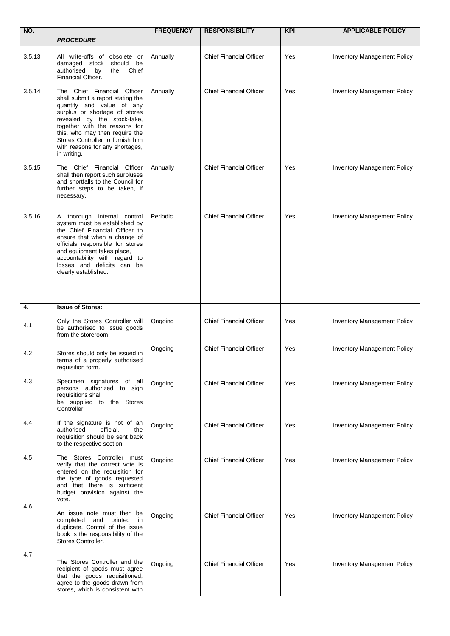| NO.    |                                                                                                                                                                                                                                                                                                                        | <b>FREQUENCY</b> | <b>RESPONSIBILITY</b>          | <b>KPI</b> | <b>APPLICABLE POLICY</b>           |
|--------|------------------------------------------------------------------------------------------------------------------------------------------------------------------------------------------------------------------------------------------------------------------------------------------------------------------------|------------------|--------------------------------|------------|------------------------------------|
|        | <b>PROCEDURE</b>                                                                                                                                                                                                                                                                                                       |                  |                                |            |                                    |
| 3.5.13 | All write-offs of obsolete or<br>damaged stock<br>should<br>be<br>authorised<br>by<br>the<br>Chief<br>Financial Officer.                                                                                                                                                                                               | Annually         | <b>Chief Financial Officer</b> | Yes        | <b>Inventory Management Policy</b> |
| 3.5.14 | The Chief Financial Officer<br>shall submit a report stating the<br>quantity and value of any<br>surplus or shortage of stores<br>revealed by the stock-take,<br>together with the reasons for<br>this, who may then require the<br>Stores Controller to furnish him<br>with reasons for any shortages,<br>in writing. | Annually         | <b>Chief Financial Officer</b> | Yes        | <b>Inventory Management Policy</b> |
| 3.5.15 | The Chief Financial Officer<br>shall then report such surpluses<br>and shortfalls to the Council for<br>further steps to be taken, if<br>necessary.                                                                                                                                                                    | Annually         | <b>Chief Financial Officer</b> | Yes        | <b>Inventory Management Policy</b> |
| 3.5.16 | A thorough internal control<br>system must be established by<br>the Chief Financial Officer to<br>ensure that when a change of<br>officials responsible for stores<br>and equipment takes place,<br>accountability with regard to<br>losses and deficits can be<br>clearly established.                                | Periodic         | <b>Chief Financial Officer</b> | Yes        | <b>Inventory Management Policy</b> |
| 4.     | <b>Issue of Stores:</b>                                                                                                                                                                                                                                                                                                |                  |                                |            |                                    |
| 4.1    | Only the Stores Controller will<br>be authorised to issue goods<br>from the storeroom.                                                                                                                                                                                                                                 | Ongoing          | <b>Chief Financial Officer</b> | Yes        | <b>Inventory Management Policy</b> |
| 4.2    | Stores should only be issued in<br>terms of a properly authorised<br>requisition form.                                                                                                                                                                                                                                 | Ongoing          | <b>Chief Financial Officer</b> | Yes        | Inventory Management Policy        |
| 4.3    | Specimen signatures of all<br>persons authorized to sign<br>requisitions shall<br>be supplied to the Stores<br>Controller.                                                                                                                                                                                             | Ongoing          | <b>Chief Financial Officer</b> | Yes        | <b>Inventory Management Policy</b> |
| 4.4    | If the signature is not of an<br>authorised<br>official.<br>the<br>requisition should be sent back<br>to the respective section.                                                                                                                                                                                       | Ongoing          | <b>Chief Financial Officer</b> | Yes        | <b>Inventory Management Policy</b> |
| 4.5    | The Stores Controller must<br>verify that the correct vote is<br>entered on the requisition for<br>the type of goods requested<br>and that there is sufficient<br>budget provision against the<br>vote.                                                                                                                | Ongoing          | <b>Chief Financial Officer</b> | Yes        | <b>Inventory Management Policy</b> |
| 4.6    | An issue note must then be<br>and printed in<br>completed<br>duplicate. Control of the issue<br>book is the responsibility of the<br>Stores Controller.                                                                                                                                                                | Ongoing          | <b>Chief Financial Officer</b> | Yes        | <b>Inventory Management Policy</b> |
| 4.7    | The Stores Controller and the<br>recipient of goods must agree<br>that the goods requisitioned,<br>agree to the goods drawn from<br>stores, which is consistent with                                                                                                                                                   | Ongoing          | <b>Chief Financial Officer</b> | Yes        | <b>Inventory Management Policy</b> |